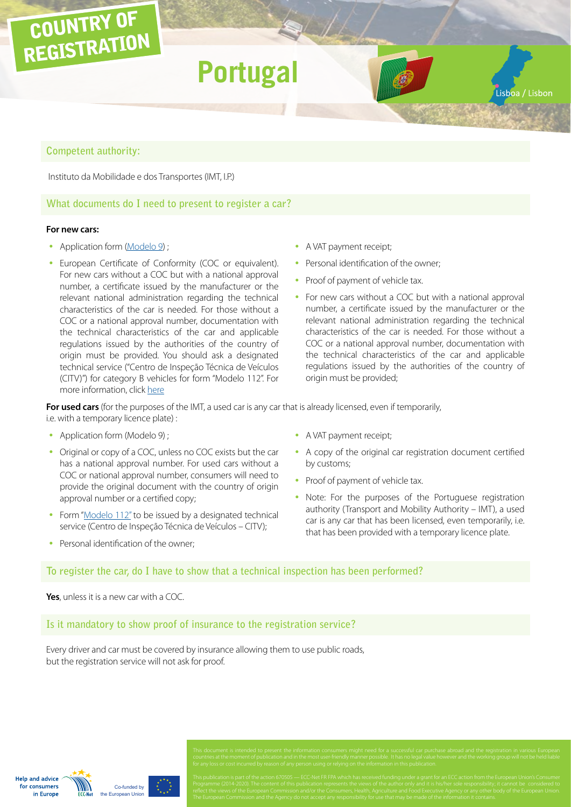# COUNTRY OF REGISTRATION **Portugal** Lisboa / Lisbon

# **Competent authority:**

Instituto da Mobilidade e dos Transportes (IMT, I.P.)

# **What documents do I need to present to register a car?**

#### **For new cars:**

- Application form ([Modelo 9\)](http://www.imt-ip.pt/sites/IMTT/Portugues/Formularios/Documents/Mod9IMT.pdf) ;
- European Certificate of Conformity (COC or equivalent). For new cars without a COC but with a national approval number, a certificate issued by the manufacturer or the relevant national administration regarding the technical characteristics of the car is needed. For those without a COC or a national approval number, documentation with the technical characteristics of the car and applicable regulations issued by the authorities of the country of origin must be provided. You should ask a designated technical service ("Centro de Inspeção Técnica de Veículos (CITV)") for category B vehicles for form "Modelo 112". For more information, click [here](http://www.imtt.pt/sites/IMTT/Portugues/Veiculos/PesquisaCentrosInspeccao/Paginas/PesquisaCentrosInspeccao.aspx)
- A VAT payment receipt;
- Personal identification of the owner;
- Proof of payment of vehicle tax.
- For new cars without a COC but with a national approval number, a certificate issued by the manufacturer or the relevant national administration regarding the technical characteristics of the car is needed. For those without a COC or a national approval number, documentation with the technical characteristics of the car and applicable regulations issued by the authorities of the country of origin must be provided;

**For used cars** (for the purposes of the IMT, a used car is any car that is already licensed, even if temporarily, i.e. with a temporary licence plate) :

- Application form (Modelo 9) ;
- Original or copy of a COC, unless no COC exists but the car has a national approval number. For used cars without a COC or national approval number, consumers will need to provide the original document with the country of origin approval number or a certified copy;
- Form ["Modelo 112"](http://www.imtt.pt/sites/IMTT/Portugues/Veiculos/PesquisaCentrosInspeccao/Paginas/PesquisaCentrosInspeccao.aspx) to be issued by a designated technical service (Centro de Inspeção Técnica de Veículos – CITV);
- Personal identification of the owner:
- A VAT payment receipt;
- A copy of the original car registration document certified by customs;
- Proof of payment of vehicle tax.
- Note: For the purposes of the Portuguese registration authority (Transport and Mobility Authority – IMT), a used car is any car that has been licensed, even temporarily, i.e. that has been provided with a temporary licence plate.

**To register the car, do I have to show that a technical inspection has been performed?**

**Yes**, unless it is a new car with a COC.

**Is it mandatory to show proof of insurance to the registration service?**

Every driver and car must be covered by insurance allowing them to use public roads, but the registration service will not ask for proof.